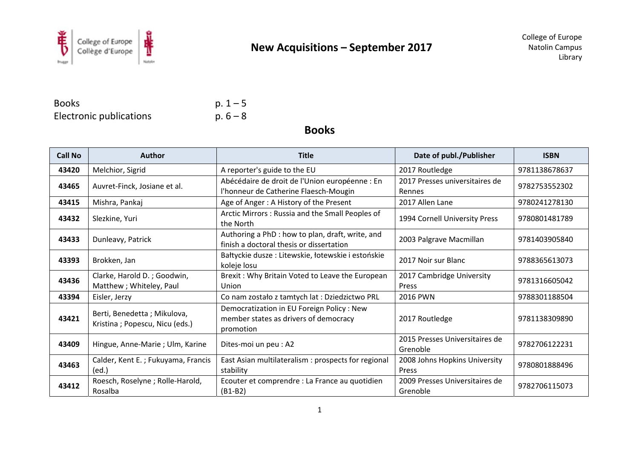

**Books** Electronic publications  $p. 1 - 5$  $p.6 - 8$ 

**Books** 

| <b>Call No</b> | <b>Author</b>                                                 | <b>Title</b>                                                                                    | Date of publ./Publisher                    | <b>ISBN</b>   |
|----------------|---------------------------------------------------------------|-------------------------------------------------------------------------------------------------|--------------------------------------------|---------------|
| 43420          | Melchior, Sigrid                                              | A reporter's guide to the EU                                                                    | 2017 Routledge                             | 9781138678637 |
| 43465          | Auvret-Finck, Josiane et al.                                  | Abécédaire de droit de l'Union européenne : En<br>l'honneur de Catherine Flaesch-Mougin         | 2017 Presses universitaires de<br>Rennes   | 9782753552302 |
| 43415          | Mishra, Pankaj                                                | Age of Anger: A History of the Present                                                          | 2017 Allen Lane                            | 9780241278130 |
| 43432          | Slezkine, Yuri                                                | Arctic Mirrors: Russia and the Small Peoples of<br>the North                                    | 1994 Cornell University Press              | 9780801481789 |
| 43433          | Dunleavy, Patrick                                             | Authoring a PhD : how to plan, draft, write, and<br>finish a doctoral thesis or dissertation    | 2003 Palgrave Macmillan                    | 9781403905840 |
| 43393          | Brokken, Jan                                                  | Bałtyckie dusze: Litewskie, łotewskie i estońskie<br>koleje losu                                | 2017 Noir sur Blanc                        | 9788365613073 |
| 43436          | Clarke, Harold D.; Goodwin,<br>Matthew ; Whiteley, Paul       | Brexit: Why Britain Voted to Leave the European<br>Union                                        | 2017 Cambridge University<br>Press         | 9781316605042 |
| 43394          | Eisler, Jerzy                                                 | Co nam zostało z tamtych lat : Dziedzictwo PRL                                                  | <b>2016 PWN</b>                            | 9788301188504 |
| 43421          | Berti, Benedetta; Mikulova,<br>Kristina; Popescu, Nicu (eds.) | Democratization in EU Foreign Policy: New<br>member states as drivers of democracy<br>promotion | 2017 Routledge                             | 9781138309890 |
| 43409          | Hingue, Anne-Marie; Ulm, Karine                               | Dites-moi un peu : A2                                                                           | 2015 Presses Universitaires de<br>Grenoble | 9782706122231 |
| 43463          | Calder, Kent E.; Fukuyama, Francis<br>(ed.)                   | East Asian multilateralism : prospects for regional<br>stability                                | 2008 Johns Hopkins University<br>Press     | 9780801888496 |
| 43412          | Roesch, Roselyne; Rolle-Harold,<br>Rosalba                    | Ecouter et comprendre : La France au quotidien<br>$(B1-B2)$                                     | 2009 Presses Universitaires de<br>Grenoble | 9782706115073 |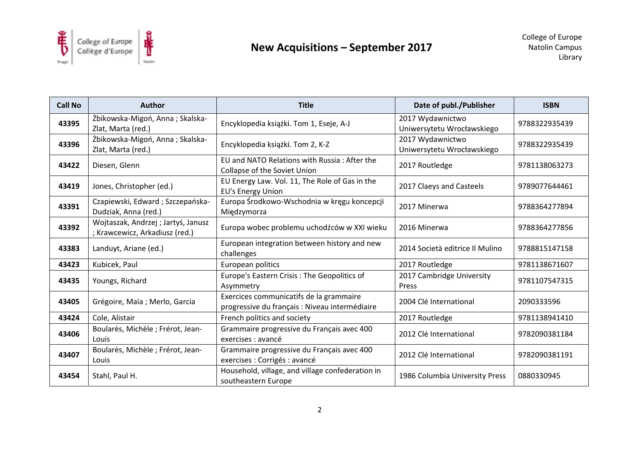

| <b>Call No</b> | <b>Author</b>                                                        | <b>Title</b>                                                                              | Date of publ./Publisher                        | <b>ISBN</b>   |
|----------------|----------------------------------------------------------------------|-------------------------------------------------------------------------------------------|------------------------------------------------|---------------|
| 43395          | Żbikowska-Migoń, Anna; Skalska-<br>Zlat, Marta (red.)                | Encyklopedia książki. Tom 1, Eseje, A-J                                                   | 2017 Wydawnictwo<br>Uniwersytetu Wrocławskiego | 9788322935439 |
| 43396          | Żbikowska-Migoń, Anna; Skalska-<br>Zlat, Marta (red.)                | Encyklopedia książki. Tom 2, K-Z                                                          | 2017 Wydawnictwo<br>Uniwersytetu Wrocławskiego | 9788322935439 |
| 43422          | Diesen, Glenn                                                        | EU and NATO Relations with Russia: After the<br>Collapse of the Soviet Union              | 2017 Routledge                                 | 9781138063273 |
| 43419          | Jones, Christopher (ed.)                                             | EU Energy Law. Vol. 11, The Role of Gas in the<br><b>EU's Energy Union</b>                | 2017 Claeys and Casteels                       | 9789077644461 |
| 43391          | Czapiewski, Edward; Szczepańska-<br>Dudziak, Anna (red.)             | Europa Środkowo-Wschodnia w kręgu koncepcji<br>Międzymorza                                | 2017 Minerwa                                   | 9788364277894 |
| 43392          | Wojtaszak, Andrzej; Jartyś, Janusz<br>; Krawcewicz, Arkadiusz (red.) | Europa wobec problemu uchodźców w XXI wieku                                               | 2016 Minerwa                                   | 9788364277856 |
| 43383          | Landuyt, Ariane (ed.)                                                | European integration between history and new<br>challenges                                | 2014 Società editrice Il Mulino                | 9788815147158 |
| 43423          | Kubicek, Paul                                                        | European politics                                                                         | 2017 Routledge                                 | 9781138671607 |
| 43435          | Youngs, Richard                                                      | Europe's Eastern Crisis: The Geopolitics of<br>Asymmetry                                  | 2017 Cambridge University<br>Press             | 9781107547315 |
| 43405          | Grégoire, Maïa ; Merlo, Garcia                                       | Exercices communicatifs de la grammaire<br>progressive du français : Niveau intermédiaire | 2004 Clé International                         | 2090333596    |
| 43424          | Cole, Alistair                                                       | French politics and society                                                               | 2017 Routledge                                 | 9781138941410 |
| 43406          | Boularès, Michèle ; Frérot, Jean-<br>Louis                           | Grammaire progressive du Français avec 400<br>exercises : avancé                          | 2012 Clé International                         | 9782090381184 |
| 43407          | Boularès, Michèle ; Frérot, Jean-<br>Louis                           | Grammaire progressive du Français avec 400<br>exercises : Corrigés : avancé               | 2012 Clé International                         | 9782090381191 |
| 43454          | Stahl, Paul H.                                                       | Household, village, and village confederation in<br>southeastern Europe                   | 1986 Columbia University Press                 | 0880330945    |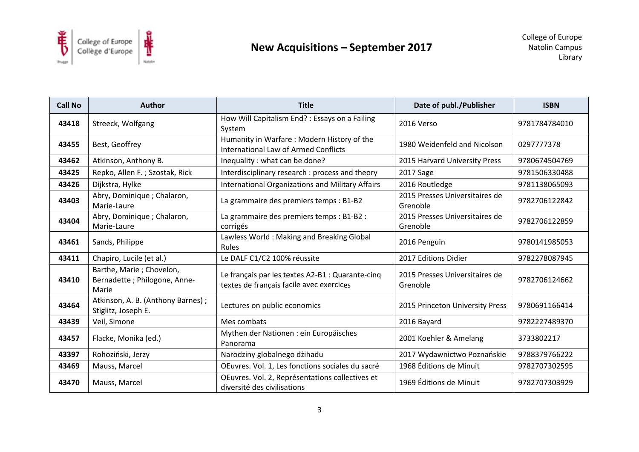

| <b>Call No</b> | <b>Author</b>                                                      | <b>Title</b>                                                                                 | Date of publ./Publisher                    | <b>ISBN</b>   |
|----------------|--------------------------------------------------------------------|----------------------------------------------------------------------------------------------|--------------------------------------------|---------------|
| 43418          | Streeck, Wolfgang                                                  | How Will Capitalism End? : Essays on a Failing<br>System                                     | 2016 Verso                                 | 9781784784010 |
| 43455          | Best, Geoffrey                                                     | Humanity in Warfare: Modern History of the<br><b>International Law of Armed Conflicts</b>    | 1980 Weidenfeld and Nicolson               | 0297777378    |
| 43462          | Atkinson, Anthony B.                                               | Inequality : what can be done?                                                               | 2015 Harvard University Press              | 9780674504769 |
| 43425          | Repko, Allen F.; Szostak, Rick                                     | Interdisciplinary research : process and theory                                              | 2017 Sage                                  | 9781506330488 |
| 43426          | Dijkstra, Hylke                                                    | <b>International Organizations and Military Affairs</b>                                      | 2016 Routledge                             | 9781138065093 |
| 43403          | Abry, Dominique ; Chalaron,<br>Marie-Laure                         | La grammaire des premiers temps : B1-B2                                                      | 2015 Presses Universitaires de<br>Grenoble | 9782706122842 |
| 43404          | Abry, Dominique ; Chalaron,<br>Marie-Laure                         | La grammaire des premiers temps : B1-B2 :<br>corrigés                                        | 2015 Presses Universitaires de<br>Grenoble | 9782706122859 |
| 43461          | Sands, Philippe                                                    | Lawless World: Making and Breaking Global<br><b>Rules</b>                                    | 2016 Penguin                               | 9780141985053 |
| 43411          | Chapiro, Lucile (et al.)                                           | Le DALF C1/C2 100% réussite                                                                  | 2017 Editions Didier                       | 9782278087945 |
| 43410          | Barthe, Marie; Chovelon,<br>Bernadette ; Philogone, Anne-<br>Marie | Le français par les textes A2-B1 : Quarante-cinq<br>textes de français facile avec exercices | 2015 Presses Universitaires de<br>Grenoble | 9782706124662 |
| 43464          | Atkinson, A. B. (Anthony Barnes);<br>Stiglitz, Joseph E.           | Lectures on public economics                                                                 | 2015 Princeton University Press            | 9780691166414 |
| 43439          | Veil, Simone                                                       | Mes combats                                                                                  | 2016 Bayard                                | 9782227489370 |
| 43457          | Flacke, Monika (ed.)                                               | Mythen der Nationen : ein Europäisches<br>Panorama                                           | 2001 Koehler & Amelang                     | 3733802217    |
| 43397          | Rohoziński, Jerzy                                                  | Narodziny globalnego dżihadu                                                                 | 2017 Wydawnictwo Poznańskie                | 9788379766222 |
| 43469          | Mauss, Marcel                                                      | OEuvres. Vol. 1, Les fonctions sociales du sacré                                             | 1968 Éditions de Minuit                    | 9782707302595 |
| 43470          | Mauss, Marcel                                                      | OEuvres. Vol. 2, Représentations collectives et<br>diversité des civilisations               | 1969 Éditions de Minuit                    | 9782707303929 |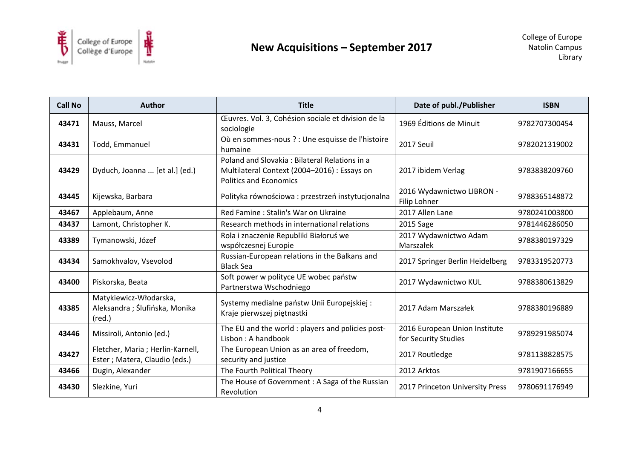

| <b>Call No</b> | <b>Author</b>                                                              | <b>Title</b>                                                                                                                   | Date of publ./Publisher                               | <b>ISBN</b>   |
|----------------|----------------------------------------------------------------------------|--------------------------------------------------------------------------------------------------------------------------------|-------------------------------------------------------|---------------|
| 43471          | Mauss, Marcel                                                              | Œuvres. Vol. 3, Cohésion sociale et division de la<br>sociologie                                                               | 1969 Éditions de Minuit                               | 9782707300454 |
| 43431          | Todd, Emmanuel                                                             | Où en sommes-nous ? : Une esquisse de l'histoire<br>humaine                                                                    | 2017 Seuil                                            | 9782021319002 |
| 43429          | Dyduch, Joanna  [et al.] (ed.)                                             | Poland and Slovakia: Bilateral Relations in a<br>Multilateral Context (2004-2016) : Essays on<br><b>Politics and Economics</b> | 2017 ibidem Verlag                                    | 9783838209760 |
| 43445          | Kijewska, Barbara                                                          | Polityka równościowa: przestrzeń instytucjonalna                                                                               | 2016 Wydawnictwo LIBRON -<br>Filip Lohner             | 9788365148872 |
| 43467          | Applebaum, Anne                                                            | Red Famine: Stalin's War on Ukraine                                                                                            | 2017 Allen Lane                                       | 9780241003800 |
| 43437          | Lamont, Christopher K.                                                     | Research methods in international relations                                                                                    | 2015 Sage                                             | 9781446286050 |
| 43389          | Tymanowski, Józef                                                          | Rola i znaczenie Republiki Białoruś we<br>współczesnej Europie                                                                 | 2017 Wydawnictwo Adam<br>Marszałek                    | 9788380197329 |
| 43434          | Samokhvalov, Vsevolod                                                      | Russian-European relations in the Balkans and<br><b>Black Sea</b>                                                              | 2017 Springer Berlin Heidelberg                       | 9783319520773 |
| 43400          | Piskorska, Beata                                                           | Soft power w polityce UE wobec państw<br>Partnerstwa Wschodniego                                                               | 2017 Wydawnictwo KUL                                  | 9788380613829 |
| 43385          | Matykiewicz-Włodarska,<br>Aleksandra; Ślufińska, Monika<br>$(\text{red.})$ | Systemy medialne państw Unii Europejskiej :<br>Kraje pierwszej piętnastki                                                      | 2017 Adam Marszałek                                   | 9788380196889 |
| 43446          | Missiroli, Antonio (ed.)                                                   | The EU and the world : players and policies post-<br>Lisbon: A handbook                                                        | 2016 European Union Institute<br>for Security Studies | 9789291985074 |
| 43427          | Fletcher, Maria ; Herlin-Karnell,<br>Ester ; Matera, Claudio (eds.)        | The European Union as an area of freedom,<br>security and justice                                                              | 2017 Routledge                                        | 9781138828575 |
| 43466          | Dugin, Alexander                                                           | The Fourth Political Theory                                                                                                    | 2012 Arktos                                           | 9781907166655 |
| 43430          | Slezkine, Yuri                                                             | The House of Government: A Saga of the Russian<br>Revolution                                                                   | 2017 Princeton University Press                       | 9780691176949 |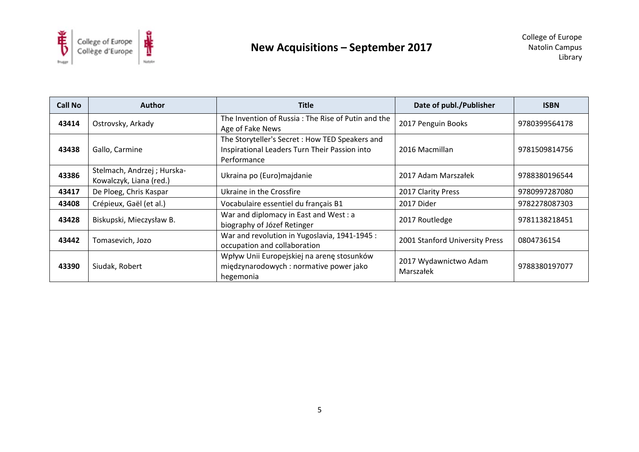

| Call No | <b>Author</b>                                          | <b>Title</b>                                                                                                    | Date of publ./Publisher            | <b>ISBN</b>   |
|---------|--------------------------------------------------------|-----------------------------------------------------------------------------------------------------------------|------------------------------------|---------------|
| 43414   | Ostrovsky, Arkady                                      | The Invention of Russia: The Rise of Putin and the<br>Age of Fake News                                          | 2017 Penguin Books                 | 9780399564178 |
| 43438   | Gallo, Carmine                                         | The Storyteller's Secret : How TED Speakers and<br>Inspirational Leaders Turn Their Passion into<br>Performance | 2016 Macmillan                     | 9781509814756 |
| 43386   | Stelmach, Andrzej ; Hurska-<br>Kowalczyk, Liana (red.) | Ukraina po (Euro) majdanie                                                                                      | 2017 Adam Marszałek                | 9788380196544 |
| 43417   | De Ploeg, Chris Kaspar                                 | Ukraine in the Crossfire                                                                                        | 2017 Clarity Press                 | 9780997287080 |
| 43408   | Crépieux, Gaël (et al.)                                | Vocabulaire essentiel du français B1                                                                            | 2017 Dider                         | 9782278087303 |
| 43428   | Biskupski, Mieczysław B.                               | War and diplomacy in East and West : a<br>biography of Józef Retinger                                           | 2017 Routledge                     | 9781138218451 |
| 43442   | Tomasevich, Jozo                                       | War and revolution in Yugoslavia, 1941-1945 :<br>occupation and collaboration                                   | 2001 Stanford University Press     | 0804736154    |
| 43390   | Siudak, Robert                                         | Wpływ Unii Europejskiej na arenę stosunków<br>międzynarodowych : normative power jako<br>hegemonia              | 2017 Wydawnictwo Adam<br>Marszałek | 9788380197077 |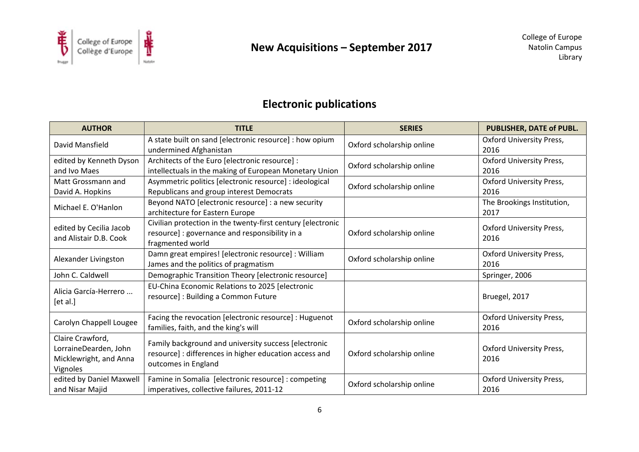

# **Electronic publications**

| <b>AUTHOR</b>                                                                   | <b>TITLE</b>                                                                                                                          | <b>SERIES</b>             | PUBLISHER, DATE of PUBL.                |
|---------------------------------------------------------------------------------|---------------------------------------------------------------------------------------------------------------------------------------|---------------------------|-----------------------------------------|
| David Mansfield                                                                 | A state built on sand [electronic resource] : how opium<br>undermined Afghanistan                                                     | Oxford scholarship online | <b>Oxford University Press,</b><br>2016 |
| edited by Kenneth Dyson<br>and Ivo Maes                                         | Architects of the Euro [electronic resource] :<br>intellectuals in the making of European Monetary Union                              | Oxford scholarship online | <b>Oxford University Press,</b><br>2016 |
| Matt Grossmann and<br>David A. Hopkins                                          | Asymmetric politics [electronic resource] : ideological<br>Republicans and group interest Democrats                                   | Oxford scholarship online | <b>Oxford University Press,</b><br>2016 |
| Michael E. O'Hanlon                                                             | Beyond NATO [electronic resource] : a new security<br>architecture for Eastern Europe                                                 |                           | The Brookings Institution,<br>2017      |
| edited by Cecilia Jacob<br>and Alistair D.B. Cook                               | Civilian protection in the twenty-first century [electronic<br>resource] : governance and responsibility in a<br>fragmented world     | Oxford scholarship online | <b>Oxford University Press,</b><br>2016 |
| Alexander Livingston                                                            | Damn great empires! [electronic resource] : William<br>James and the politics of pragmatism                                           | Oxford scholarship online | <b>Oxford University Press,</b><br>2016 |
| John C. Caldwell                                                                | Demographic Transition Theory [electronic resource]                                                                                   |                           | Springer, 2006                          |
| Alicia García-Herrero<br>[et al.]                                               | EU-China Economic Relations to 2025 [electronic<br>resource] : Building a Common Future                                               |                           | Bruegel, 2017                           |
| Carolyn Chappell Lougee                                                         | Facing the revocation [electronic resource] : Huguenot<br>families, faith, and the king's will                                        | Oxford scholarship online | <b>Oxford University Press,</b><br>2016 |
| Claire Crawford,<br>LorraineDearden, John<br>Micklewright, and Anna<br>Vignoles | Family background and university success [electronic<br>resource] : differences in higher education access and<br>outcomes in England | Oxford scholarship online | <b>Oxford University Press,</b><br>2016 |
| edited by Daniel Maxwell<br>and Nisar Majid                                     | Famine in Somalia [electronic resource] : competing<br>imperatives, collective failures, 2011-12                                      | Oxford scholarship online | <b>Oxford University Press,</b><br>2016 |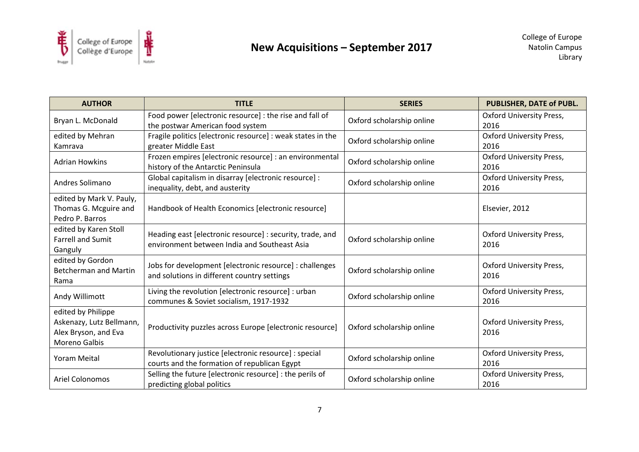

| <b>AUTHOR</b>                                                                           | <b>TITLE</b>                                                                                              | <b>SERIES</b>             | PUBLISHER, DATE of PUBL.                |
|-----------------------------------------------------------------------------------------|-----------------------------------------------------------------------------------------------------------|---------------------------|-----------------------------------------|
| Bryan L. McDonald                                                                       | Food power [electronic resource] : the rise and fall of<br>the postwar American food system               | Oxford scholarship online | <b>Oxford University Press,</b><br>2016 |
| edited by Mehran<br>Kamrava                                                             | Fragile politics [electronic resource] : weak states in the<br>greater Middle East                        | Oxford scholarship online | <b>Oxford University Press,</b><br>2016 |
| <b>Adrian Howkins</b>                                                                   | Frozen empires [electronic resource] : an environmental<br>history of the Antarctic Peninsula             | Oxford scholarship online | <b>Oxford University Press,</b><br>2016 |
| Andres Solimano                                                                         | Global capitalism in disarray [electronic resource] :<br>inequality, debt, and austerity                  | Oxford scholarship online | <b>Oxford University Press,</b><br>2016 |
| edited by Mark V. Pauly,<br>Thomas G. Mcguire and<br>Pedro P. Barros                    | Handbook of Health Economics [electronic resource]                                                        |                           | Elsevier, 2012                          |
| edited by Karen Stoll<br><b>Farrell and Sumit</b><br>Ganguly                            | Heading east [electronic resource] : security, trade, and<br>environment between India and Southeast Asia | Oxford scholarship online | <b>Oxford University Press,</b><br>2016 |
| edited by Gordon<br><b>Betcherman and Martin</b><br>Rama                                | Jobs for development [electronic resource] : challenges<br>and solutions in different country settings    | Oxford scholarship online | <b>Oxford University Press,</b><br>2016 |
| Andy Willimott                                                                          | Living the revolution [electronic resource] : urban<br>communes & Soviet socialism, 1917-1932             | Oxford scholarship online | <b>Oxford University Press,</b><br>2016 |
| edited by Philippe<br>Askenazy, Lutz Bellmann,<br>Alex Bryson, and Eva<br>Moreno Galbis | Productivity puzzles across Europe [electronic resource]                                                  | Oxford scholarship online | <b>Oxford University Press,</b><br>2016 |
| <b>Yoram Meital</b>                                                                     | Revolutionary justice [electronic resource] : special<br>courts and the formation of republican Egypt     | Oxford scholarship online | <b>Oxford University Press,</b><br>2016 |
| <b>Ariel Colonomos</b>                                                                  | Selling the future [electronic resource] : the perils of<br>predicting global politics                    | Oxford scholarship online | <b>Oxford University Press,</b><br>2016 |